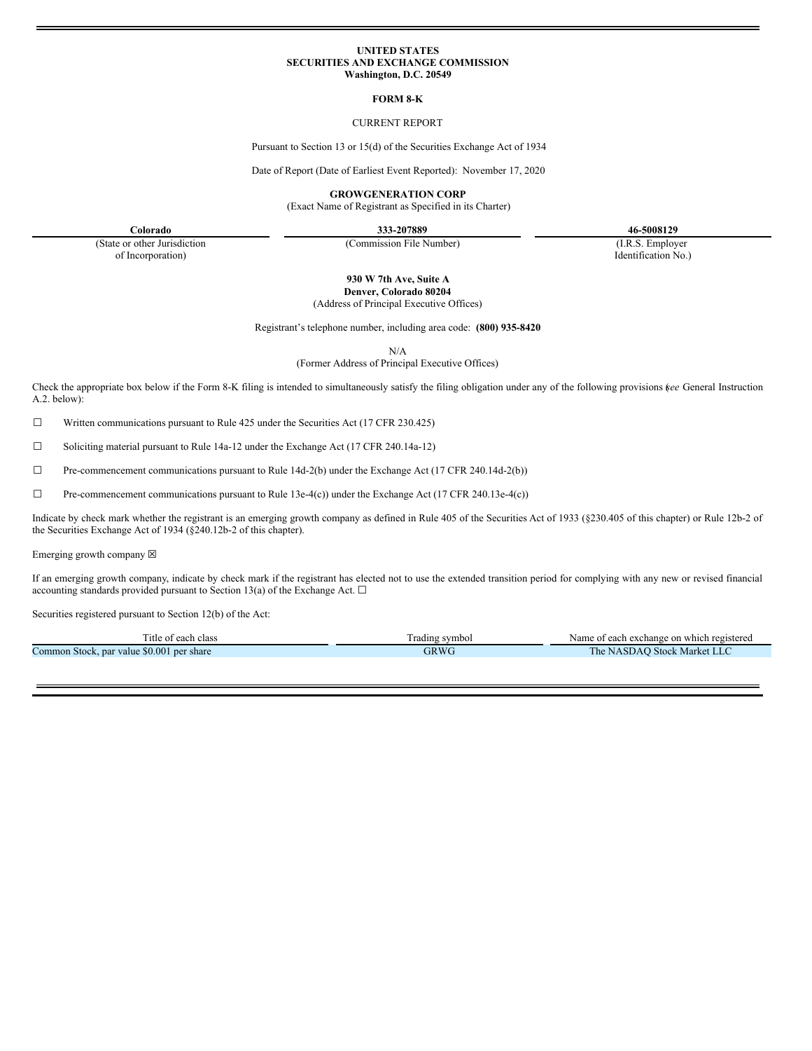## **UNITED STATES SECURITIES AND EXCHANGE COMMISSION Washington, D.C. 20549**

### **FORM 8-K**

# CURRENT REPORT

Pursuant to Section 13 or 15(d) of the Securities Exchange Act of 1934

Date of Report (Date of Earliest Event Reported): November 17, 2020

**GROWGENERATION CORP**

(Exact Name of Registrant as Specified in its Charter)

**Colorado 333-207889 46-5008129** Identification No.)

(State or other Jurisdiction of Incorporation)

(Commission File Number) (I.R.S. Employer

**930 W 7th Ave, Suite A Denver, Colorado 80204**

(Address of Principal Executive Offices)

Registrant's telephone number, including area code: **(800) 935-8420**

N/A

(Former Address of Principal Executive Offices)

Check the appropriate box below if the Form 8-K filing is intended to simultaneously satisfy the filing obligation under any of the following provisions (*see* General Instruction A.2. below):

☐ Written communications pursuant to Rule 425 under the Securities Act (17 CFR 230.425)

☐ Soliciting material pursuant to Rule 14a-12 under the Exchange Act (17 CFR 240.14a-12)

 $\Box$  Pre-commencement communications pursuant to Rule 14d-2(b) under the Exchange Act (17 CFR 240.14d-2(b))

 $\Box$  Pre-commencement communications pursuant to Rule 13e-4(c)) under the Exchange Act (17 CFR 240.13e-4(c))

Indicate by check mark whether the registrant is an emerging growth company as defined in Rule 405 of the Securities Act of 1933 (§230.405 of this chapter) or Rule 12b-2 of the Securities Exchange Act of 1934 (§240.12b-2 of this chapter).

Emerging growth company  $\boxtimes$ 

If an emerging growth company, indicate by check mark if the registrant has elected not to use the extended transition period for complying with any new or revised financial accounting standards provided pursuant to Section 13(a) of the Exchange Act.  $\square$ 

Securities registered pursuant to Section 12(b) of the Act:

| l'itle of each class                         | rading symbol | t each exchange on which registered<br>Name<br>$\sim$ +<br>$\mathbf{u}$ |
|----------------------------------------------|---------------|-------------------------------------------------------------------------|
| Common Stock, par value \$0.001<br>per share | 3RW6          | <b>Stock Market LLC</b><br>l he<br><sup>•</sup> NASDAC                  |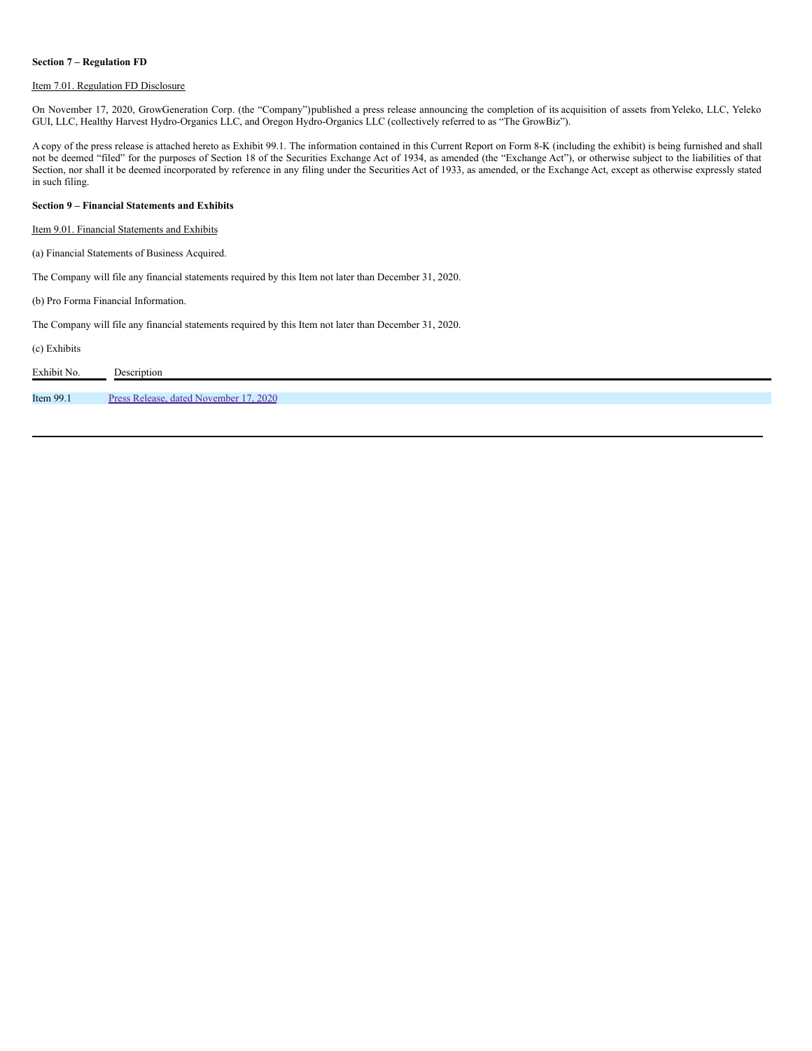### **Section 7 – Regulation FD**

# Item 7.01. Regulation FD Disclosure

On November 17, 2020, GrowGeneration Corp. (the "Company")published a press release announcing the completion of its acquisition of assets fromYeleko, LLC, Yeleko GUI, LLC, Healthy Harvest Hydro-Organics LLC, and Oregon Hydro-Organics LLC (collectively referred to as "The GrowBiz").

A copy of the press release is attached hereto as Exhibit 99.1. The information contained in this Current Report on Form 8-K (including the exhibit) is being furnished and shall not be deemed "filed" for the purposes of Section 18 of the Securities Exchange Act of 1934, as amended (the "Exchange Act"), or otherwise subject to the liabilities of that Section, nor shall it be deemed incorporated by reference in any filing under the Securities Act of 1933, as amended, or the Exchange Act, except as otherwise expressly stated in such filing.

### **Section 9 – Financial Statements and Exhibits**

Item 9.01. Financial Statements and Exhibits

(a) Financial Statements of Business Acquired.

The Company will file any financial statements required by this Item not later than December 31, 2020.

(b) Pro Forma Financial Information.

The Company will file any financial statements required by this Item not later than December 31, 2020.

(c) Exhibits

| Exhibit No. | Description                            |
|-------------|----------------------------------------|
|             |                                        |
| Item 99.1   | Press Release, dated November 17, 2020 |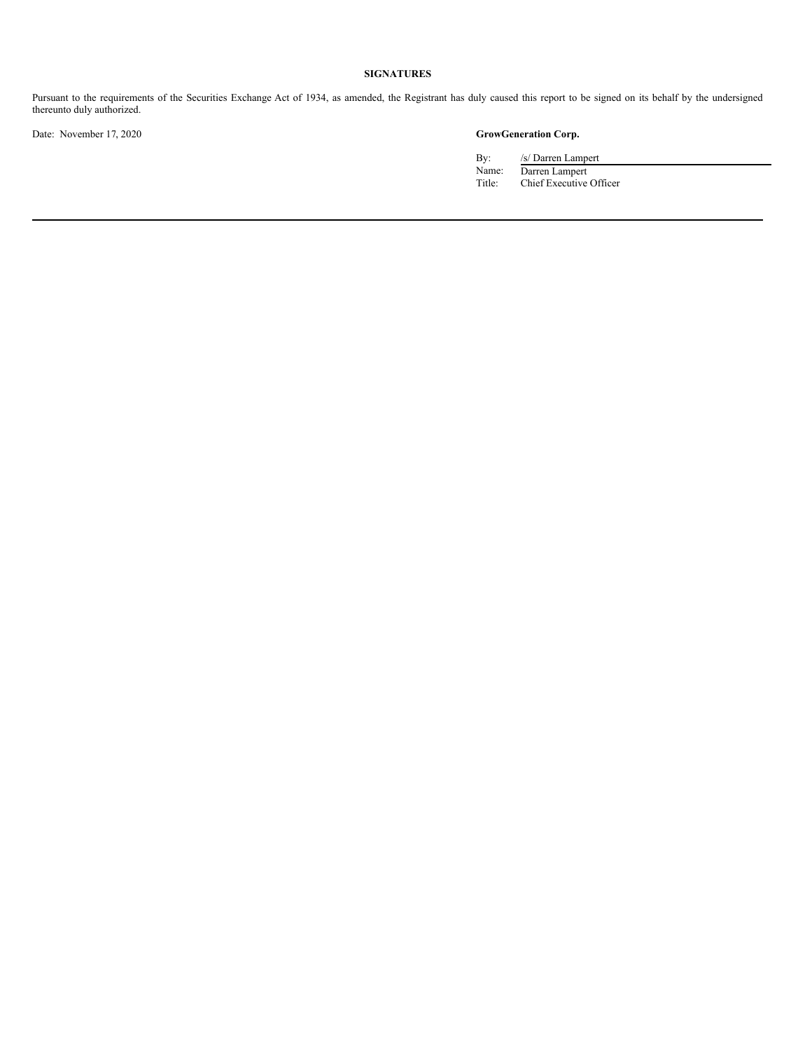# **SIGNATURES**

Pursuant to the requirements of the Securities Exchange Act of 1934, as amended, the Registrant has duly caused this report to be signed on its behalf by the undersigned thereunto duly authorized.

Date: November 17, 2020 **GrowGeneration Corp.**

By: /s/ Darren Lampert<br>Name: Darren Lampert Name: Darren Lampert Title: Chief Executive Officer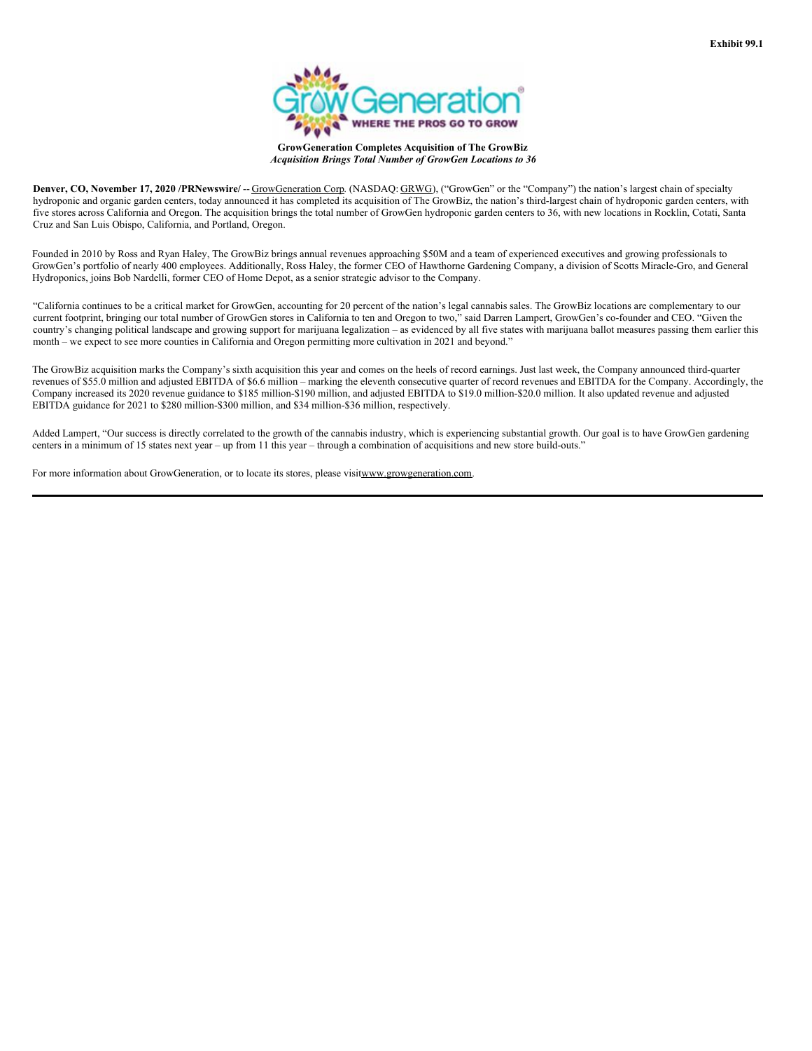

**GrowGeneration Completes Acquisition of The GrowBiz** *Acquisition Brings Total Number of GrowGen Locations to 36*

<span id="page-3-0"></span>**Denver, CO, November 17, 2020 /PRNewswire/** -- GrowGeneration Corp. (NASDAQ: GRWG), ("GrowGen" or the "Company") the nation's largest chain of specialty hydroponic and organic garden centers, today announced it has completed its acquisition of The GrowBiz, the nation's third-largest chain of hydroponic garden centers, with five stores across California and Oregon. The acquisition brings the total number of GrowGen hydroponic garden centers to 36, with new locations in Rocklin, Cotati, Santa Cruz and San Luis Obispo, California, and Portland, Oregon.

Founded in 2010 by Ross and Ryan Haley, The GrowBiz brings annual revenues approaching \$50M and a team of experienced executives and growing professionals to GrowGen's portfolio of nearly 400 employees. Additionally, Ross Haley, the former CEO of Hawthorne Gardening Company, a division of Scotts Miracle-Gro, and General Hydroponics, joins Bob Nardelli, former CEO of Home Depot, as a senior strategic advisor to the Company.

"California continues to be a critical market for GrowGen, accounting for 20 percent of the nation's legal cannabis sales. The GrowBiz locations are complementary to our current footprint, bringing our total number of GrowGen stores in California to ten and Oregon to two," said Darren Lampert, GrowGen's co-founder and CEO. "Given the country's changing political landscape and growing support for marijuana legalization – as evidenced by all five states with marijuana ballot measures passing them earlier this month – we expect to see more counties in California and Oregon permitting more cultivation in 2021 and beyond."

The GrowBiz acquisition marks the Company's sixth acquisition this year and comes on the heels of record earnings. Just last week, the Company announced third-quarter revenues of \$55.0 million and adjusted EBITDA of \$6.6 million – marking the eleventh consecutive quarter of record revenues and EBITDA for the Company. Accordingly, the Company increased its 2020 revenue guidance to \$185 million-\$190 million, and adjusted EBITDA to \$19.0 million-\$20.0 million. It also updated revenue and adjusted EBITDA guidance for 2021 to \$280 million-\$300 million, and \$34 million-\$36 million, respectively.

Added Lampert, "Our success is directly correlated to the growth of the cannabis industry, which is experiencing substantial growth. Our goal is to have GrowGen gardening centers in a minimum of 15 states next year – up from 11 this year – through a combination of acquisitions and new store build-outs."

For more information about GrowGeneration, or to locate its stores, please visitwww.growgeneration.com.